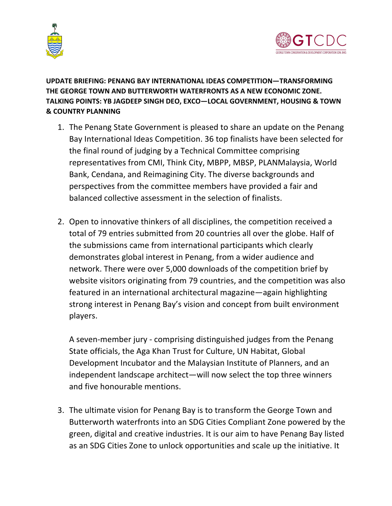



**UPDATE BRIEFING: PENANG BAY INTERNATIONAL IDEAS COMPETITION—TRANSFORMING THE GEORGE TOWN AND BUTTERWORTH WATERFRONTS AS A NEW ECONOMIC ZONE. TALKING POINTS: YB JAGDEEP SINGH DEO, EXCO—LOCAL GOVERNMENT, HOUSING & TOWN & COUNTRY PLANNING**

- 1. The Penang State Government is pleased to share an update on the Penang Bay International Ideas Competition. 36 top finalists have been selected for the final round of judging by a Technical Committee comprising representatives from CMI, Think City, MBPP, MBSP, PLANMalaysia, World Bank, Cendana, and Reimagining City. The diverse backgrounds and perspectives from the committee members have provided a fair and balanced collective assessment in the selection of finalists.
- 2. Open to innovative thinkers of all disciplines, the competition received a total of 79 entries submitted from 20 countries all over the globe. Half of the submissions came from international participants which clearly demonstrates global interest in Penang, from a wider audience and network. There were over 5,000 downloads of the competition brief by website visitors originating from 79 countries, and the competition was also featured in an international architectural magazine—again highlighting strong interest in Penang Bay's vision and concept from built environment players.

A seven-member jury - comprising distinguished judges from the Penang State officials, the Aga Khan Trust for Culture, UN Habitat, Global Development Incubator and the Malaysian Institute of Planners, and an independent landscape architect—will now select the top three winners and five honourable mentions.

3. The ultimate vision for Penang Bay is to transform the George Town and Butterworth waterfronts into an SDG Cities Compliant Zone powered by the green, digital and creative industries. It is our aim to have Penang Bay listed as an SDG Cities Zone to unlock opportunities and scale up the initiative. It